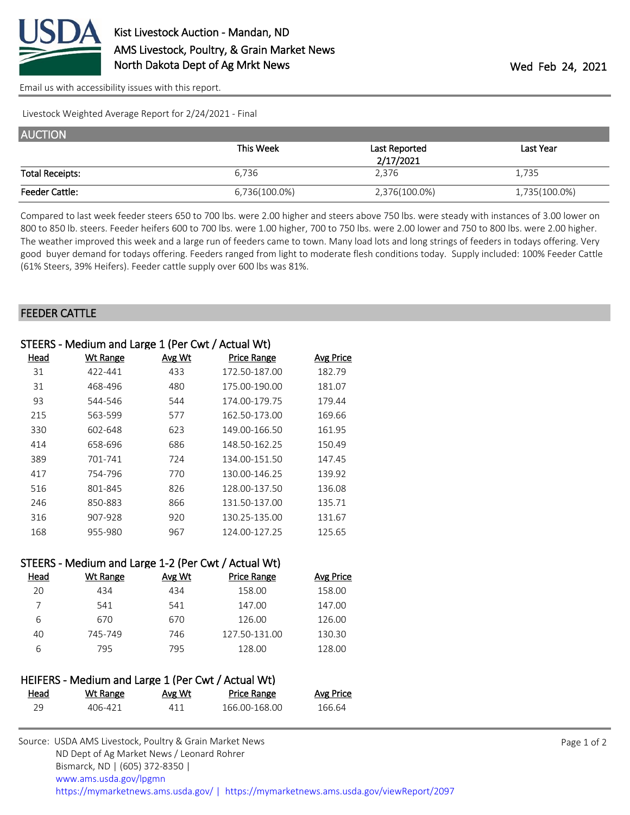

[Email us with accessibility issues with this report.](mailto:mars@ams.usda.gov?subject=508%20issue)

Livestock Weighted Average Report for 2/24/2021 - Final

| <b>AUCTION</b>         |               |               |               |  |
|------------------------|---------------|---------------|---------------|--|
|                        | This Week     | Last Reported | Last Year     |  |
|                        | 2/17/2021     |               |               |  |
| <b>Total Receipts:</b> | 6,736         | 2,376         | 1,735         |  |
| <b>Feeder Cattle:</b>  | 6,736(100.0%) | 2,376(100.0%) | 1,735(100.0%) |  |

Compared to last week feeder steers 650 to 700 lbs. were 2.00 higher and steers above 750 lbs. were steady with instances of 3.00 lower on 800 to 850 lb. steers. Feeder heifers 600 to 700 lbs. were 1.00 higher, 700 to 750 lbs. were 2.00 lower and 750 to 800 lbs. were 2.00 higher. The weather improved this week and a large run of feeders came to town. Many load lots and long strings of feeders in todays offering. Very good buyer demand for todays offering. Feeders ranged from light to moderate flesh conditions today. Supply included: 100% Feeder Cattle (61% Steers, 39% Heifers). Feeder cattle supply over 600 lbs was 81%.

## FEEDER CATTLE

| STEERS - Medium and Large 1 (Per Cwt / Actual Wt)   |          |        |                    |           |  |
|-----------------------------------------------------|----------|--------|--------------------|-----------|--|
| Head                                                | Wt Range | Avg Wt | <b>Price Range</b> | Avg Price |  |
| 31                                                  | 422-441  | 433    | 172.50-187.00      | 182.79    |  |
| 31                                                  | 468-496  | 480    | 175.00-190.00      | 181.07    |  |
| 93                                                  | 544-546  | 544    | 174.00-179.75      | 179.44    |  |
| 215                                                 | 563-599  | 577    | 162.50-173.00      | 169.66    |  |
| 330                                                 | 602-648  | 623    | 149.00-166.50      | 161.95    |  |
| 414                                                 | 658-696  | 686    | 148.50-162.25      | 150.49    |  |
| 389                                                 | 701-741  | 724    | 134.00-151.50      | 147.45    |  |
| 417                                                 | 754-796  | 770    | 130.00-146.25      | 139.92    |  |
| 516                                                 | 801-845  | 826    | 128.00-137.50      | 136.08    |  |
| 246                                                 | 850-883  | 866    | 131.50-137.00      | 135.71    |  |
| 316                                                 | 907-928  | 920    | 130.25-135.00      | 131.67    |  |
| 168                                                 | 955-980  | 967    | 124.00-127.25      | 125.65    |  |
|                                                     |          |        |                    |           |  |
| STEERS - Medium and Large 1-2 (Per Cwt / Actual Wt) |          |        |                    |           |  |

| Head | Wt Range | Avg Wt | <b>Price Range</b> | Avg Price |  |
|------|----------|--------|--------------------|-----------|--|
| 20   | 434      | 434    | 158.00             | 158.00    |  |
|      | 541      | 541    | 147.00             | 147.00    |  |
| 6    | 670      | 670    | 126.00             | 126.00    |  |
| 40   | 745-749  | 746    | 127.50-131.00      | 130.30    |  |
| 6    | 795      | 795    | 128.00             | 128.00    |  |
|      |          |        |                    |           |  |

|      | HEIFERS - Medium and Large 1 (Per Cwt / Actual Wt) |        |               |                  |
|------|----------------------------------------------------|--------|---------------|------------------|
| Head | Wt Range                                           | Avg Wt | Price Range   | <b>Avg Price</b> |
| 29.  | 406-421                                            | 411    | 166.00-168.00 | 166.64           |